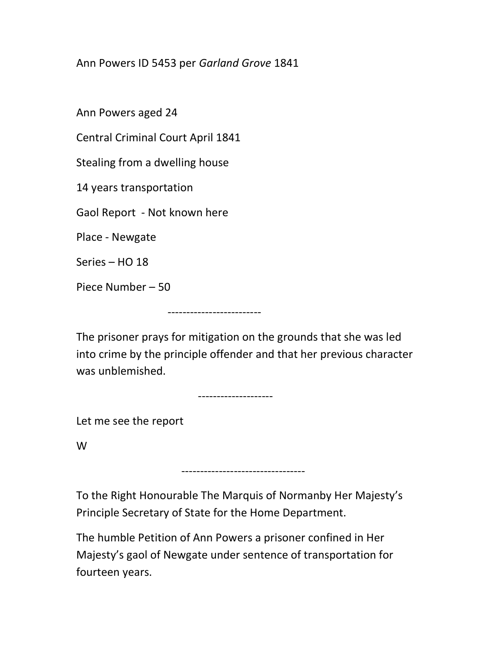Ann Powers ID 5453 per Garland Grove 1841

Ann Powers aged 24

Central Criminal Court April 1841

Stealing from a dwelling house

14 years transportation

Gaol Report - Not known here

Place - Newgate

Series – HO 18

Piece Number – 50

-------------------------

The prisoner prays for mitigation on the grounds that she was led into crime by the principle offender and that her previous character was unblemished.

--------------------

Let me see the report

W

To the Right Honourable The Marquis of Normanby Her Majesty's Principle Secretary of State for the Home Department.

---------------------------------

The humble Petition of Ann Powers a prisoner confined in Her Majesty's gaol of Newgate under sentence of transportation for fourteen years.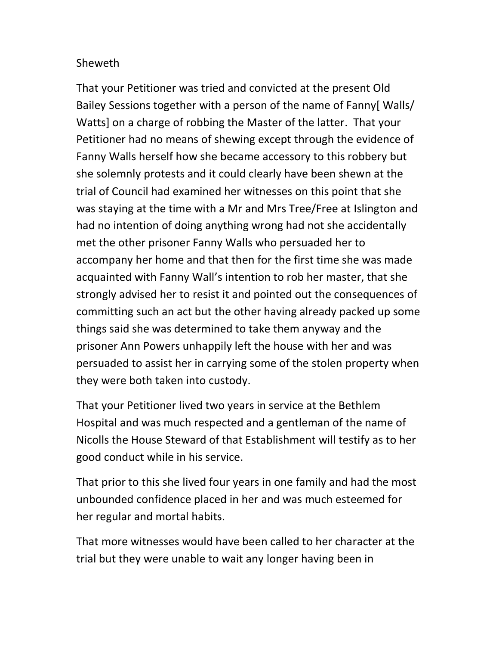## Sheweth

That your Petitioner was tried and convicted at the present Old Bailey Sessions together with a person of the name of Fanny[ Walls/ Watts] on a charge of robbing the Master of the latter. That your Petitioner had no means of shewing except through the evidence of Fanny Walls herself how she became accessory to this robbery but she solemnly protests and it could clearly have been shewn at the trial of Council had examined her witnesses on this point that she was staying at the time with a Mr and Mrs Tree/Free at Islington and had no intention of doing anything wrong had not she accidentally met the other prisoner Fanny Walls who persuaded her to accompany her home and that then for the first time she was made acquainted with Fanny Wall's intention to rob her master, that she strongly advised her to resist it and pointed out the consequences of committing such an act but the other having already packed up some things said she was determined to take them anyway and the prisoner Ann Powers unhappily left the house with her and was persuaded to assist her in carrying some of the stolen property when they were both taken into custody.

That your Petitioner lived two years in service at the Bethlem Hospital and was much respected and a gentleman of the name of Nicolls the House Steward of that Establishment will testify as to her good conduct while in his service.

That prior to this she lived four years in one family and had the most unbounded confidence placed in her and was much esteemed for her regular and mortal habits.

That more witnesses would have been called to her character at the trial but they were unable to wait any longer having been in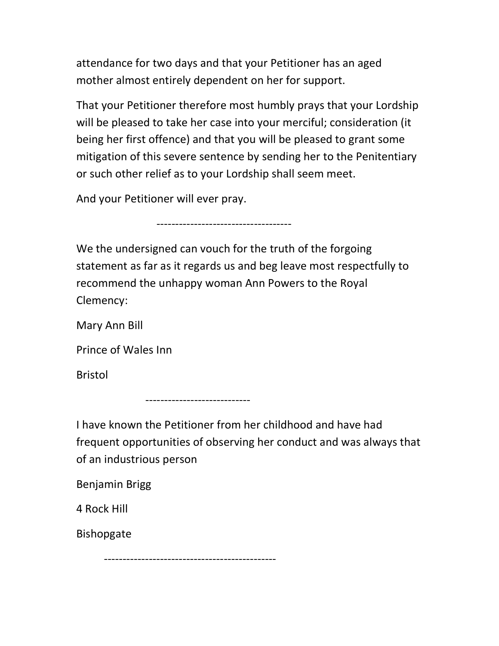attendance for two days and that your Petitioner has an aged mother almost entirely dependent on her for support.

That your Petitioner therefore most humbly prays that your Lordship will be pleased to take her case into your merciful; consideration (it being her first offence) and that you will be pleased to grant some mitigation of this severe sentence by sending her to the Penitentiary or such other relief as to your Lordship shall seem meet.

And your Petitioner will ever pray.

------------------------------------

We the undersigned can vouch for the truth of the forgoing statement as far as it regards us and beg leave most respectfully to recommend the unhappy woman Ann Powers to the Royal Clemency:

Mary Ann Bill

Prince of Wales Inn

Bristol

----------------------------

I have known the Petitioner from her childhood and have had frequent opportunities of observing her conduct and was always that of an industrious person

Benjamin Brigg

4 Rock Hill

Bishopgate

----------------------------------------------